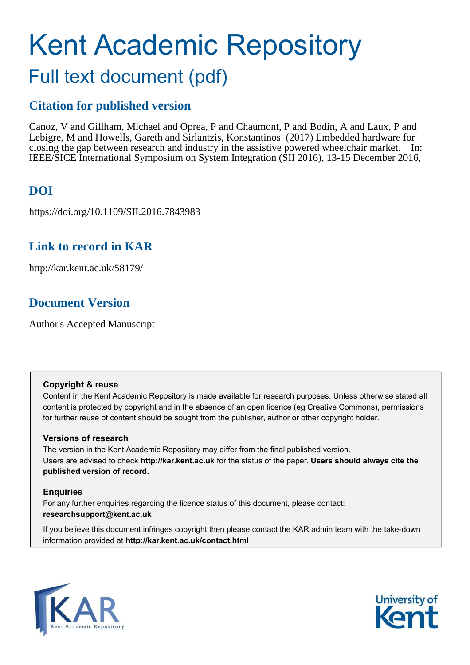# Kent Academic Repository Full text document (pdf)

## **Citation for published version**

Canoz, V and Gillham, Michael and Oprea, P and Chaumont, P and Bodin, A and Laux, P and Lebigre, M and Howells, Gareth and Sirlantzis, Konstantinos (2017) Embedded hardware for closing the gap between research and industry in the assistive powered wheelchair market. In: IEEE/SICE International Symposium on System Integration (SII 2016), 13-15 December 2016,

# **DOI**

https://doi.org/10.1109/SII.2016.7843983

## **Link to record in KAR**

http://kar.kent.ac.uk/58179/

# **Document Version**

Author's Accepted Manuscript

### **Copyright & reuse**

Content in the Kent Academic Repository is made available for research purposes. Unless otherwise stated all content is protected by copyright and in the absence of an open licence (eg Creative Commons), permissions for further reuse of content should be sought from the publisher, author or other copyright holder.

## **Versions of research**

The version in the Kent Academic Repository may differ from the final published version. Users are advised to check **http://kar.kent.ac.uk** for the status of the paper. **Users should always cite the published version of record.**

## **Enquiries**

For any further enquiries regarding the licence status of this document, please contact: **researchsupport@kent.ac.uk**

If you believe this document infringes copyright then please contact the KAR admin team with the take-down information provided at **http://kar.kent.ac.uk/contact.html**



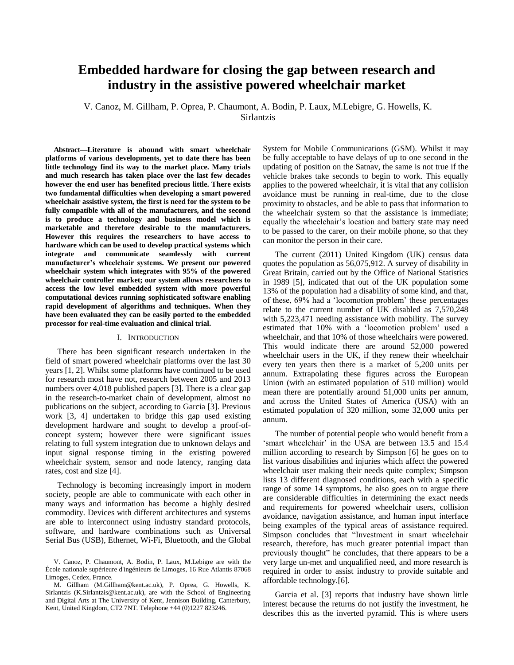## **Embedded hardware for closing the gap between research and industry in the assistive powered wheelchair market**

V. Canoz, M. Gillham, P. Oprea, P. Chaumont, A. Bodin, P. Laux, M.Lebigre, G. Howells, K. Sirlantzis

**Abstract—Literature is abound with smart wheelchair platforms of various developments, yet to date there has been little technology find its way to the market place. Many trials and much research has taken place over the last few decades however the end user has benefited precious little. There exists two fundamental difficulties when developing a smart powered wheelchair assistive system, the first is need for the system to be fully compatible with all of the manufacturers, and the second is to produce a technology and business model which is marketable and therefore desirable to the manufacturers. However this requires the researchers to have access to hardware which can be used to develop practical systems which integrate and communicate seamlessly with current manufacturer's wheelchair systems. We present our powered wheelchair system which integrates with 95% of the powered wheelchair controller market; our system allows researchers to access the low level embedded system with more powerful computational devices running sophisticated software enabling rapid development of algorithms and techniques. When they have been evaluated they can be easily ported to the embedded processor for real-time evaluation and clinical trial.** 

#### I. INTRODUCTION

There has been significant research undertaken in the field of smart powered wheelchair platforms over the last 30 years [1, 2]. Whilst some platforms have continued to be used for research most have not, research between 2005 and 2013 numbers over 4,018 published papers [3]. There is a clear gap in the research-to-market chain of development, almost no publications on the subject, according to Garcia [3]. Previous work [3, 4] undertaken to bridge this gap used existing development hardware and sought to develop a proof-ofconcept system; however there were significant issues relating to full system integration due to unknown delays and input signal response timing in the existing powered wheelchair system, sensor and node latency, ranging data rates, cost and size [4].

Technology is becoming increasingly import in modern society, people are able to communicate with each other in many ways and information has become a highly desired commodity. Devices with different architectures and systems are able to interconnect using industry standard protocols, software, and hardware combinations such as Universal Serial Bus (USB), Ethernet, Wi-Fi, Bluetooth, and the Global System for Mobile Communications (GSM). Whilst it may be fully acceptable to have delays of up to one second in the updating of position on the Satnav, the same is not true if the vehicle brakes take seconds to begin to work. This equally applies to the powered wheelchair, it is vital that any collision avoidance must be running in real-time, due to the close proximity to obstacles, and be able to pass that information to the wheelchair system so that the assistance is immediate; equally the wheelchair's location and battery state may need to be passed to the carer, on their mobile phone, so that they can monitor the person in their care.

The current (2011) United Kingdom (UK) census data quotes the population as 56,075,912. A survey of disability in Great Britain, carried out by the Office of National Statistics in 1989 [5], indicated that out of the UK population some 13% of the population had a disability of some kind, and that, of these, 69% had a 'locomotion problem' these percentages relate to the current number of UK disabled as 7,570,248 with 5,223,471 needing assistance with mobility. The survey estimated that 10% with a 'locomotion problem' used a wheelchair, and that 10% of those wheelchairs were powered. This would indicate there are around 52,000 powered wheelchair users in the UK, if they renew their wheelchair every ten years then there is a market of 5,200 units per annum. Extrapolating these figures across the European Union (with an estimated population of 510 million) would mean there are potentially around 51,000 units per annum, and across the United States of America (USA) with an estimated population of 320 million, some 32,000 units per annum.

The number of potential people who would benefit from a 'smart wheelchair' in the USA are between 13.5 and 15.4 million according to research by Simpson [6] he goes on to list various disabilities and injuries which affect the powered wheelchair user making their needs quite complex; Simpson lists 13 different diagnosed conditions, each with a specific range of some 14 symptoms, he also goes on to argue there are considerable difficulties in determining the exact needs and requirements for powered wheelchair users, collision avoidance, navigation assistance, and human input interface being examples of the typical areas of assistance required. Simpson concludes that "Investment in smart wheelchair research, therefore, has much greater potential impact than previously thought" he concludes, that there appears to be a very large un-met and unqualified need, and more research is required in order to assist industry to provide suitable and affordable technology.[6].

Garcia et al. [3] reports that industry have shown little interest because the returns do not justify the investment, he describes this as the inverted pyramid. This is where users

V. Canoz, P. Chaumont, A. Bodin, P. Laux, M.Lebigre are with the École nationale supérieure d'ingénieurs de Limoges, 16 Rue Atlantis 87068 Limoges, Cedex, France.

M. Gillham (M.Gillham@kent.ac.uk), P. Oprea, G. Howells, K. Sirlantzis (K.Sirlantzis@kent.ac.uk), are with the School of Engineering and Digital Arts at The University of Kent, Jennison Building, Canterbury, Kent, United Kingdom, CT2 7NT. Telephone +44 (0)1227 823246.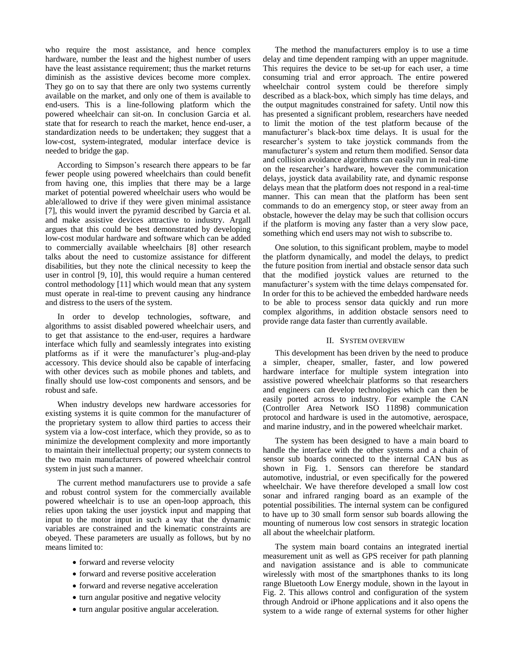who require the most assistance, and hence complex hardware, number the least and the highest number of users have the least assistance requirement; thus the market returns diminish as the assistive devices become more complex. They go on to say that there are only two systems currently available on the market, and only one of them is available to end-users. This is a line-following platform which the powered wheelchair can sit-on. In conclusion Garcia et al. state that for research to reach the market, hence end-user, a standardization needs to be undertaken; they suggest that a low-cost, system-integrated, modular interface device is needed to bridge the gap.

According to Simpson's research there appears to be far fewer people using powered wheelchairs than could benefit from having one, this implies that there may be a large market of potential powered wheelchair users who would be able/allowed to drive if they were given minimal assistance [7], this would invert the pyramid described by Garcia et al. and make assistive devices attractive to industry. Argall argues that this could be best demonstrated by developing low-cost modular hardware and software which can be added to commercially available wheelchairs [8] other research talks about the need to customize assistance for different disabilities, but they note the clinical necessity to keep the user in control [9, 10], this would require a human centered control methodology [11] which would mean that any system must operate in real-time to prevent causing any hindrance and distress to the users of the system.

In order to develop technologies, software, and algorithms to assist disabled powered wheelchair users, and to get that assistance to the end-user, requires a hardware interface which fully and seamlessly integrates into existing platforms as if it were the manufacturer's plug-and-play accessory. This device should also be capable of interfacing with other devices such as mobile phones and tablets, and finally should use low-cost components and sensors, and be robust and safe.

When industry develops new hardware accessories for existing systems it is quite common for the manufacturer of the proprietary system to allow third parties to access their system via a low-cost interface, which they provide, so as to minimize the development complexity and more importantly to maintain their intellectual property; our system connects to the two main manufacturers of powered wheelchair control system in just such a manner.

The current method manufacturers use to provide a safe and robust control system for the commercially available powered wheelchair is to use an open-loop approach, this relies upon taking the user joystick input and mapping that input to the motor input in such a way that the dynamic variables are constrained and the kinematic constraints are obeyed. These parameters are usually as follows, but by no means limited to:

- forward and reverse velocity
- forward and reverse positive acceleration
- forward and reverse negative acceleration
- turn angular positive and negative velocity
- turn angular positive angular acceleration.

The method the manufacturers employ is to use a time delay and time dependent ramping with an upper magnitude. This requires the device to be set-up for each user, a time consuming trial and error approach. The entire powered wheelchair control system could be therefore simply described as a black-box, which simply has time delays, and the output magnitudes constrained for safety. Until now this has presented a significant problem, researchers have needed to limit the motion of the test platform because of the manufacturer's black-box time delays. It is usual for the researcher's system to take joystick commands from the manufacturer's system and return them modified. Sensor data and collision avoidance algorithms can easily run in real-time on the researcher's hardware, however the communication delays, joystick data availability rate, and dynamic response delays mean that the platform does not respond in a real-time manner. This can mean that the platform has been sent commands to do an emergency stop, or steer away from an obstacle, however the delay may be such that collision occurs if the platform is moving any faster than a very slow pace, something which end users may not wish to subscribe to.

One solution, to this significant problem, maybe to model the platform dynamically, and model the delays, to predict the future position from inertial and obstacle sensor data such that the modified joystick values are returned to the manufacturer's system with the time delays compensated for. In order for this to be achieved the embedded hardware needs to be able to process sensor data quickly and run more complex algorithms, in addition obstacle sensors need to provide range data faster than currently available.

#### II. SYSTEM OVERVIEW

This development has been driven by the need to produce a simpler, cheaper, smaller, faster, and low powered hardware interface for multiple system integration into assistive powered wheelchair platforms so that researchers and engineers can develop technologies which can then be easily ported across to industry. For example the CAN (Controller Area Network ISO 11898) communication protocol and hardware is used in the automotive, aerospace, and marine industry, and in the powered wheelchair market.

The system has been designed to have a main board to handle the interface with the other systems and a chain of sensor sub boards connected to the internal CAN bus as shown in Fig. 1. Sensors can therefore be standard automotive, industrial, or even specifically for the powered wheelchair. We have therefore developed a small low cost sonar and infrared ranging board as an example of the potential possibilities. The internal system can be configured to have up to 30 small form sensor sub boards allowing the mounting of numerous low cost sensors in strategic location all about the wheelchair platform.

The system main board contains an integrated inertial measurement unit as well as GPS receiver for path planning and navigation assistance and is able to communicate wirelessly with most of the smartphones thanks to its long range Bluetooth Low Energy module, shown in the layout in Fig. 2. This allows control and configuration of the system through Android or iPhone applications and it also opens the system to a wide range of external systems for other higher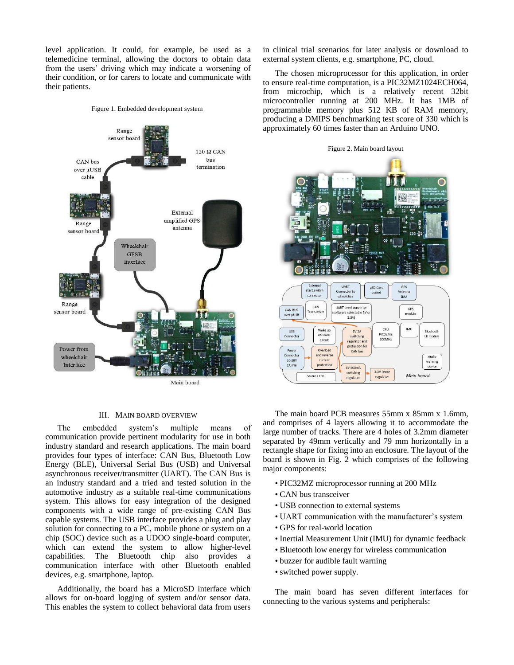level application. It could, for example, be used as a telemedicine terminal, allowing the doctors to obtain data from the users' driving which may indicate a worsening of their condition, or for carers to locate and communicate with their patients.

Figure 1. Embedded development system



#### III. MAIN BOARD OVERVIEW

The embedded system's multiple means of communication provide pertinent modularity for use in both industry standard and research applications. The main board provides four types of interface: CAN Bus, Bluetooth Low Energy (BLE), Universal Serial Bus (USB) and Universal asynchronous receiver/transmitter (UART). The CAN Bus is an industry standard and a tried and tested solution in the automotive industry as a suitable real-time communications system. This allows for easy integration of the designed components with a wide range of pre-existing CAN Bus capable systems. The USB interface provides a plug and play solution for connecting to a PC, mobile phone or system on a chip (SOC) device such as a UDOO single-board computer, which can extend the system to allow higher-level capabilities. The Bluetooth chip also provides a communication interface with other Bluetooth enabled devices, e.g. smartphone, laptop.

Additionally, the board has a MicroSD interface which allows for on-board logging of system and/or sensor data. This enables the system to collect behavioral data from users in clinical trial scenarios for later analysis or download to external system clients, e.g. smartphone, PC, cloud.

The chosen microprocessor for this application, in order to ensure real-time computation, is a PIC32MZ1024ECH064, from microchip, which is a relatively recent 32bit microcontroller running at 200 MHz. It has 1MB of programmable memory plus 512 KB of RAM memory, producing a DMIPS benchmarking test score of 330 which is approximately 60 times faster than an Arduino UNO.



The main board PCB measures 55mm x 85mm x 1.6mm, and comprises of 4 layers allowing it to accommodate the large number of tracks. There are 4 holes of 3.2mm diameter separated by 49mm vertically and 79 mm horizontally in a rectangle shape for fixing into an enclosure. The layout of the board is shown in Fig. 2 which comprises of the following major components:

- PIC32MZ microprocessor running at 200 MHz
- CAN bus transceiver
- USB connection to external systems
- UART communication with the manufacturer's system
- GPS for real-world location
- Inertial Measurement Unit (IMU) for dynamic feedback
- Bluetooth low energy for wireless communication
- buzzer for audible fault warning
- switched power supply.

The main board has seven different interfaces for connecting to the various systems and peripherals: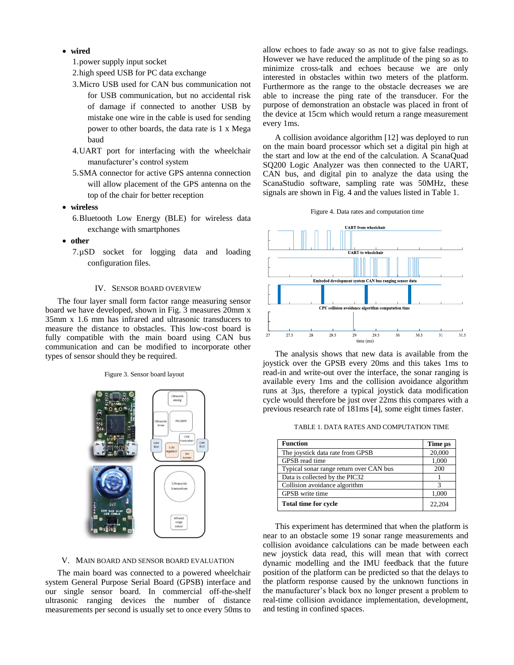- **wired** 
	- 1.power supply input socket
	- 2.high speed USB for PC data exchange
	- 3.Micro USB used for CAN bus communication not for USB communication, but no accidental risk of damage if connected to another USB by mistake one wire in the cable is used for sending power to other boards, the data rate is 1 x Mega baud
	- 4.UART port for interfacing with the wheelchair manufacturer's control system
	- 5.SMA connector for active GPS antenna connection will allow placement of the GPS antenna on the top of the chair for better reception
- **wireless** 
	- 6.Bluetooth Low Energy (BLE) for wireless data exchange with smartphones
- **other** 
	- 7.µSD socket for logging data and loading configuration files.

#### IV. SENSOR BOARD OVERVIEW

The four layer small form factor range measuring sensor board we have developed, shown in Fig. 3 measures 20mm x 35mm x 1.6 mm has infrared and ultrasonic transducers to measure the distance to obstacles. This low-cost board is fully compatible with the main board using CAN bus communication and can be modified to incorporate other types of sensor should they be required.

Figure 3. Sensor board layout



#### V. MAIN BOARD AND SENSOR BOARD EVALUATION

The main board was connected to a powered wheelchair system General Purpose Serial Board (GPSB) interface and our single sensor board. In commercial off-the-shelf ultrasonic ranging devices the number of distance measurements per second is usually set to once every 50ms to allow echoes to fade away so as not to give false readings. However we have reduced the amplitude of the ping so as to minimize cross-talk and echoes because we are only interested in obstacles within two meters of the platform. Furthermore as the range to the obstacle decreases we are able to increase the ping rate of the transducer. For the purpose of demonstration an obstacle was placed in front of the device at 15cm which would return a range measurement every 1ms.

A collision avoidance algorithm [12] was deployed to run on the main board processor which set a digital pin high at the start and low at the end of the calculation. A ScanaQuad SQ200 Logic Analyzer was then connected to the UART, CAN bus, and digital pin to analyze the data using the ScanaStudio software, sampling rate was 50MHz, these signals are shown in Fig. 4 and the values listed in Table 1.





The analysis shows that new data is available from the joystick over the GPSB every 20ms and this takes 1ms to read-in and write-out over the interface, the sonar ranging is available every 1ms and the collision avoidance algorithm runs at 3µs, therefore a typical joystick data modification cycle would therefore be just over 22ms this compares with a previous research rate of 181ms [4], some eight times faster.

TABLE 1. DATA RATES AND COMPUTATION TIME

| <b>Function</b>                         | Time us |
|-----------------------------------------|---------|
| The joystick data rate from GPSB        | 20,000  |
| GPSB read time                          | 1,000   |
| Typical sonar range return over CAN bus | 200     |
| Data is collected by the PIC32          |         |
| Collision avoidance algorithm           | 3       |
| GPSB write time                         | 1,000   |
| <b>Total time for cycle</b>             | 22,204  |

This experiment has determined that when the platform is near to an obstacle some 19 sonar range measurements and collision avoidance calculations can be made between each new joystick data read, this will mean that with correct dynamic modelling and the IMU feedback that the future position of the platform can be predicted so that the delays to the platform response caused by the unknown functions in the manufacturer's black box no longer present a problem to real-time collision avoidance implementation, development, and testing in confined spaces.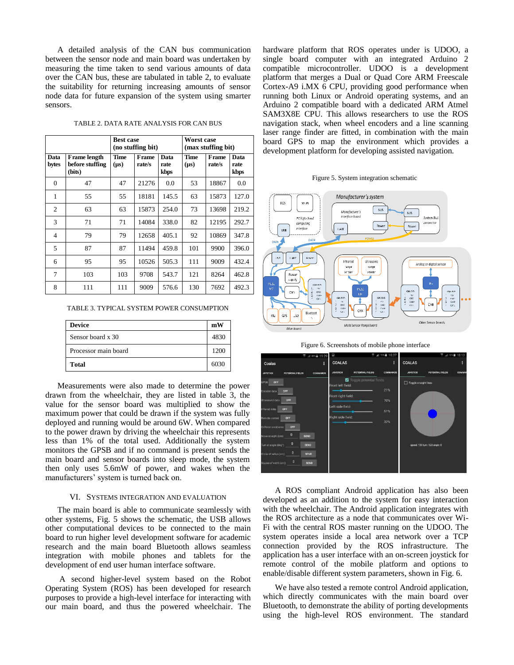A detailed analysis of the CAN bus communication between the sensor node and main board was undertaken by measuring the time taken to send various amounts of data over the CAN bus, these are tabulated in table 2, to evaluate the suitability for returning increasing amounts of sensor node data for future expansion of the system using smarter sensors.

| TABLE 2. DATA RATE ANALYSIS FOR CAN BUS |  |  |  |  |  |  |
|-----------------------------------------|--|--|--|--|--|--|
|-----------------------------------------|--|--|--|--|--|--|

|                |                                                  | <b>Best case</b><br>(no stuffing bit) |                 |                      | Worst case<br>(max stuffing bit) |                 |                      |
|----------------|--------------------------------------------------|---------------------------------------|-----------------|----------------------|----------------------------------|-----------------|----------------------|
| Data<br>bytes  | <b>Frame</b> length<br>before stuffing<br>(bits) | Time<br>$(\mu s)$                     | Frame<br>rate/s | Data<br>rate<br>kbps | Time<br>$(\mu s)$                | Frame<br>rate/s | Data<br>rate<br>kbps |
| $\theta$       | 47                                               | 47                                    | 21276           | 0.0                  | 53                               | 18867           | 0.0                  |
| 1              | 55                                               | 55                                    | 18181           | 145.5                | 63                               | 15873           | 127.0                |
| $\overline{2}$ | 63                                               | 63                                    | 15873           | 254.0                | 73                               | 13698           | 219.2                |
| 3              | 71                                               | 71                                    | 14084           | 338.0                | 82                               | 12195           | 292.7                |
| 4              | 79                                               | 79                                    | 12658           | 405.1                | 92                               | 10869           | 347.8                |
| 5              | 87                                               | 87                                    | 11494           | 459.8                | 101                              | 9900            | 396.0                |
| 6              | 95                                               | 95                                    | 10526           | 505.3                | 111                              | 9009            | 432.4                |
| 7              | 103                                              | 103                                   | 9708            | 543.7                | 121                              | 8264            | 462.8                |
| 8              | 111                                              | 111                                   | 9009            | 576.6                | 130                              | 7692            | 492.3                |

TABLE 3. TYPICAL SYSTEM POWER CONSUMPTION

| <b>Device</b>        | mW   |
|----------------------|------|
| Sensor board x 30    | 4830 |
| Processor main board | 1200 |
| Total                | 6030 |

Measurements were also made to determine the power drawn from the wheelchair, they are listed in table 3, the value for the sensor board was multiplied to show the maximum power that could be drawn if the system was fully deployed and running would be around 6W. When compared to the power drawn by driving the wheelchair this represents less than 1% of the total used. Additionally the system monitors the GPSB and if no command is present sends the main board and sensor boards into sleep mode, the system then only uses 5.6mW of power, and wakes when the manufacturers' system is turned back on.

#### VI. SYSTEMS INTEGRATION AND EVALUATION

The main board is able to communicate seamlessly with other systems, Fig. 5 shows the schematic, the USB allows other computational devices to be connected to the main board to run higher level development software for academic research and the main board Bluetooth allows seamless integration with mobile phones and tablets for the development of end user human interface software.

 A second higher-level system based on the Robot Operating System (ROS) has been developed for research purposes to provide a high-level interface for interacting with our main board, and thus the powered wheelchair. The hardware platform that ROS operates under is UDOO, a single board computer with an integrated Arduino 2 compatible microcontroller. UDOO is a development platform that merges a Dual or Quad Core ARM Freescale Cortex-A9 i.MX 6 CPU, providing good performance when running both Linux or Android operating systems, and an Arduino 2 compatible board with a dedicated ARM Atmel SAM3X8E CPU. This allows researchers to use the ROS navigation stack, when wheel encoders and a line scanning laser range finder are fitted, in combination with the main board GPS to map the environment which provides a development platform for developing assisted navigation.









A ROS compliant Android application has also been developed as an addition to the system for easy interaction with the wheelchair. The Android application integrates with the ROS architecture as a node that communicates over Wi-Fi with the central ROS master running on the UDOO. The system operates inside a local area network over a TCP connection provided by the ROS infrastructure. The application has a user interface with an on-screen joystick for remote control of the mobile platform and options to enable/disable different system parameters, shown in Fig. 6.

We have also tested a remote control Android application, which directly communicates with the main board over Bluetooth, to demonstrate the ability of porting developments using the high-level ROS environment. The standard